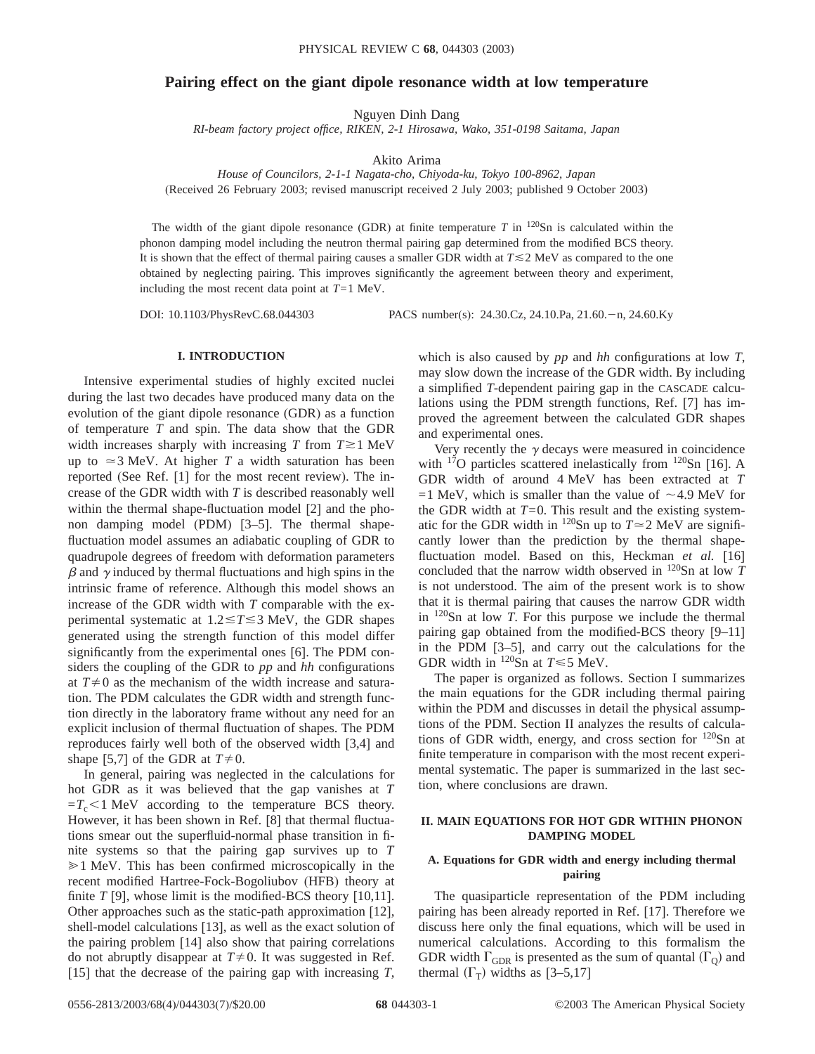# **Pairing effect on the giant dipole resonance width at low temperature**

Nguyen Dinh Dang

*RI-beam factory project office, RIKEN, 2-1 Hirosawa, Wako, 351-0198 Saitama, Japan*

Akito Arima

*House of Councilors, 2-1-1 Nagata-cho, Chiyoda-ku, Tokyo 100-8962, Japan* (Received 26 February 2003; revised manuscript received 2 July 2003; published 9 October 2003)

The width of the giant dipole resonance (GDR) at finite temperature  $T$  in  $120\text{Sn}$  is calculated within the phonon damping model including the neutron thermal pairing gap determined from the modified BCS theory. It is shown that the effect of thermal pairing causes a smaller GDR width at  $T \le 2$  MeV as compared to the one obtained by neglecting pairing. This improves significantly the agreement between theory and experiment, including the most recent data point at *T*=1 MeV.

DOI: 10.1103/PhysRevC.68.044303 PACS number(s): 24.30.Cz, 24.10.Pa, 21.60. - n, 24.60.Ky

## **I. INTRODUCTION**

Intensive experimental studies of highly excited nuclei during the last two decades have produced many data on the evolution of the giant dipole resonance (GDR) as a function of temperature *T* and spin. The data show that the GDR width increases sharply with increasing  $T$  from  $T \gtrsim 1$  MeV up to  $\approx$  3 MeV. At higher *T* a width saturation has been reported (See Ref. [1] for the most recent review). The increase of the GDR width with *T* is described reasonably well within the thermal shape-fluctuation model [2] and the phonon damping model (PDM) [3–5]. The thermal shapefluctuation model assumes an adiabatic coupling of GDR to quadrupole degrees of freedom with deformation parameters  $\beta$  and  $\gamma$  induced by thermal fluctuations and high spins in the intrinsic frame of reference. Although this model shows an increase of the GDR width with *T* comparable with the experimental systematic at  $1.2 \le T \le 3$  MeV, the GDR shapes generated using the strength function of this model differ significantly from the experimental ones [6]. The PDM considers the coupling of the GDR to *pp* and *hh* configurations at  $T\neq 0$  as the mechanism of the width increase and saturation. The PDM calculates the GDR width and strength function directly in the laboratory frame without any need for an explicit inclusion of thermal fluctuation of shapes. The PDM reproduces fairly well both of the observed width [3,4] and shape [5,7] of the GDR at  $T \neq 0$ .

In general, pairing was neglected in the calculations for hot GDR as it was believed that the gap vanishes at *T*  $=T_c$ <1 MeV according to the temperature BCS theory. However, it has been shown in Ref. [8] that thermal fluctuations smear out the superfluid-normal phase transition in finite systems so that the pairing gap survives up to *T*  $\geq 1$  MeV. This has been confirmed microscopically in the recent modified Hartree-Fock-Bogoliubov (HFB) theory at finite *T* [9], whose limit is the modified-BCS theory [10,11]. Other approaches such as the static-path approximation [12], shell-model calculations [13], as well as the exact solution of the pairing problem [14] also show that pairing correlations do not abruptly disappear at  $T \neq 0$ . It was suggested in Ref. [15] that the decrease of the pairing gap with increasing *T*, which is also caused by *pp* and *hh* configurations at low *T*, may slow down the increase of the GDR width. By including a simplified *T*-dependent pairing gap in the CASCADE calculations using the PDM strength functions, Ref. [7] has improved the agreement between the calculated GDR shapes and experimental ones.

Very recently the  $\gamma$  decays were measured in coincidence with  $17$ O particles scattered inelastically from  $120$ Sn [16]. A GDR width of around 4 MeV has been extracted at *T*  $=1$  MeV, which is smaller than the value of  $\sim$  4.9 MeV for the GDR width at  $T=0$ . This result and the existing systematic for the GDR width in <sup>120</sup>Sn up to  $T \approx 2$  MeV are significantly lower than the prediction by the thermal shapefluctuation model. Based on this, Heckman *et al.* [16] concluded that the narrow width observed in 120Sn at low *T* is not understood. The aim of the present work is to show that it is thermal pairing that causes the narrow GDR width in 120Sn at low *T*. For this purpose we include the thermal pairing gap obtained from the modified-BCS theory [9–11] in the PDM [3–5], and carry out the calculations for the GDR width in  $^{120}$ Sn at  $T \le 5$  MeV.

The paper is organized as follows. Section I summarizes the main equations for the GDR including thermal pairing within the PDM and discusses in detail the physical assumptions of the PDM. Section II analyzes the results of calculations of GDR width, energy, and cross section for  $120$ Sn at finite temperature in comparison with the most recent experimental systematic. The paper is summarized in the last section, where conclusions are drawn.

### **II. MAIN EQUATIONS FOR HOT GDR WITHIN PHONON DAMPING MODEL**

## **A. Equations for GDR width and energy including thermal pairing**

The quasiparticle representation of the PDM including pairing has been already reported in Ref. [17]. Therefore we discuss here only the final equations, which will be used in numerical calculations. According to this formalism the GDR width  $\Gamma_{\text{GDR}}$  is presented as the sum of quantal  $(\Gamma_{\Omega})$  and thermal  $(\Gamma_{\rm T})$  widths as [3–5,17]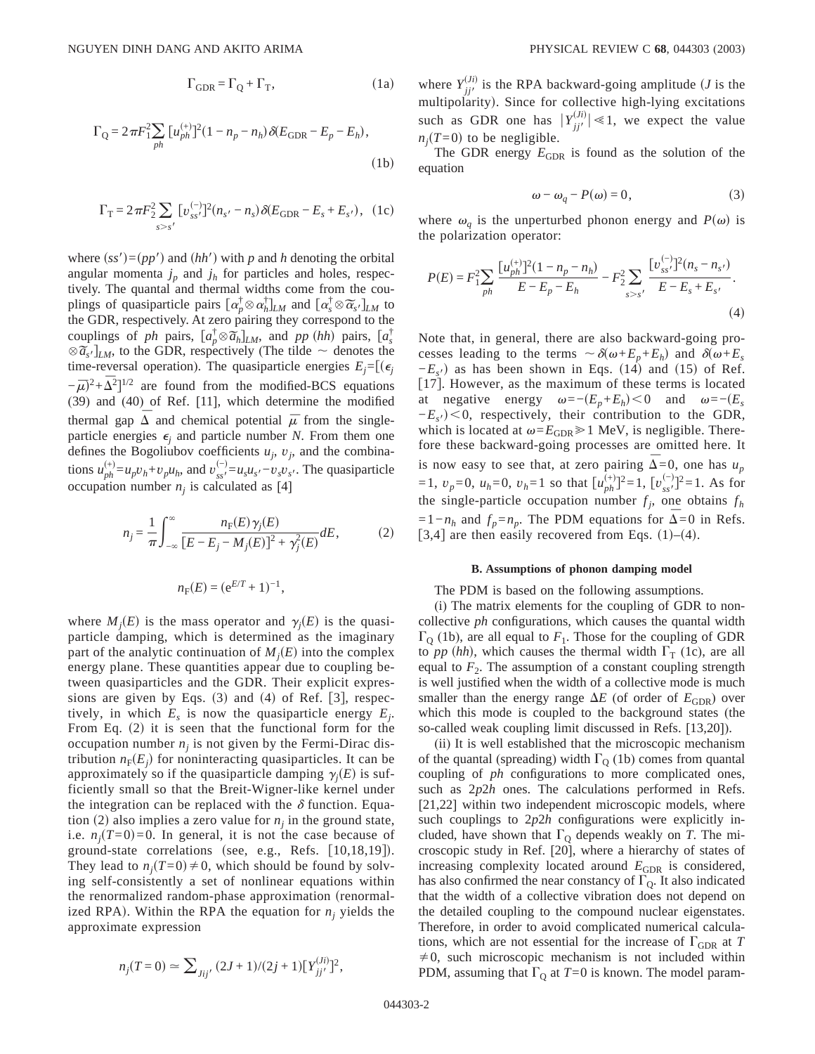$$
\Gamma_{\text{GDR}} = \Gamma_{\text{Q}} + \Gamma_{\text{T}},\tag{1a}
$$

$$
\Gamma_{\text{Q}} = 2\pi F_1^2 \sum_{ph} [u_{ph}^{(+)}]^2 (1 - n_p - n_h) \delta(E_{\text{GDR}} - E_p - E_h),
$$
\n(1b)

$$
\Gamma_{\rm T} = 2\pi F_2^2 \sum_{s > s'} \left[ v_{ss'}^{(-)} \right]^2 (n_{s'} - n_s) \, \delta(E_{\rm GDR} - E_s + E_{s'}), \tag{1c}
$$

where  $(ss')=(pp')$  and  $(hh')$  with *p* and *h* denoting the orbital angular momenta  $j_p$  and  $j_h$  for particles and holes, respectively. The quantal and thermal widths come from the coutively. The quantal and thermal widths come from the couplings of quasiparticle pairs  $\left[\alpha_p^{\dagger} \otimes \alpha_h^{\dagger}\right]_{LM}$  and  $\left[\alpha_s^{\dagger} \otimes \widetilde{\alpha_s} \cdot \right]_{LM}$  to the GDR, respectively. At zero pairing they correspond to the the GDK, respectively. At zero pairing they correspond to the couplings of *ph* pairs,  $[a_p^{\dagger} \otimes \tilde{a}_h]_{LM}$ , and *pp* (*hh*) pairs,  $[a_s^{\dagger}]$  $\otimes \overline{a}_{s'}$   $\big|_{LM}$ , to the GDR, respectively (The tilde  $\sim$  denotes the  $\otimes \overline{a}_{s'}$ )<sub>LM</sub>, to the GDR, respectively (The tilde  $\sim$  denotes the time-reversal operation). The quasiparticle energies  $E_i = [(\epsilon_i)]$  $-\bar{\mu}$ <sup>2</sup>+ $\bar{\Delta}$ <sup>2</sup>]<sup>1/2</sup> are found from the modified-BCS equations (39) and (40) of Ref. [11], which determine the modified thermal gap  $\Delta$  and chemical potential  $\bar{\mu}$  from the singleparticle energies  $\epsilon_i$  and particle number *N*. From them one defines the Bogoliubov coefficients  $u_j$ ,  $v_j$ , and the combinations  $u_{ph}^{(+)} = u_p v_h + v_p u_h$ , and  $v_{ss}^{(-)} = u_s u_{s'} - v_s v_{s'}$ . The quasiparticle occupation number  $n<sub>i</sub>$  is calculated as [4]

$$
n_{j} = \frac{1}{\pi} \int_{-\infty}^{\infty} \frac{n_{F}(E) \gamma_{j}(E)}{[E - E_{j} - M_{j}(E)]^{2} + \gamma_{j}^{2}(E)} dE, \qquad (2)
$$

$$
n_{\rm F}(E) = (e^{E/T} + 1)^{-1},
$$

where  $M_i(E)$  is the mass operator and  $\gamma_i(E)$  is the quasiparticle damping, which is determined as the imaginary part of the analytic continuation of  $M_i(E)$  into the complex energy plane. These quantities appear due to coupling between quasiparticles and the GDR. Their explicit expressions are given by Eqs.  $(3)$  and  $(4)$  of Ref.  $|3|$ , respectively, in which  $E_s$  is now the quasiparticle energy  $E_i$ . From Eq.  $(2)$  it is seen that the functional form for the occupation number  $n_i$  is not given by the Fermi-Dirac distribution  $n_F(E_i)$  for noninteracting quasiparticles. It can be approximately so if the quasiparticle damping  $\gamma_i(E)$  is sufficiently small so that the Breit-Wigner-like kernel under the integration can be replaced with the  $\delta$  function. Equation (2) also implies a zero value for  $n<sub>i</sub>$  in the ground state, i.e.  $n_i(T=0)=0$ . In general, it is not the case because of ground-state correlations (see, e.g., Refs.  $[10,18,19]$ ). They lead to  $n_i(T=0) \neq 0$ , which should be found by solving self-consistently a set of nonlinear equations within the renormalized random-phase approximation (renormalized RPA). Within the RPA the equation for  $n_i$  yields the approximate expression

$$
n_j(T=0) \simeq \sum_{Jij'} (2J+1)/(2j+1)[Y_{jj'}^{(Ji)}]^2,
$$

where  $Y_{jj'}^{(Ji)}$  is the RPA backward-going amplitude (*J* is the multipolarity). Since for collective high-lying excitations such as GDR one has  $|Y_{jj'}^{(J)}| \ll 1$ , we expect the value  $n_i(T=0)$  to be negligible.

The GDR energy  $E_{GDR}$  is found as the solution of the equation

$$
\omega - \omega_q - P(\omega) = 0,\t\t(3)
$$

where  $\omega_q$  is the unperturbed phonon energy and  $P(\omega)$  is the polarization operator:

$$
P(E) = F_1^2 \sum_{ph} \frac{[u_{ph}^{(+)}]^2 (1 - n_p - n_h)}{E - E_p - E_h} - F_2^2 \sum_{s > s'} \frac{[v_{ss'}^{(-)}]^2 (n_s - n_{s'})}{E - E_s + E_{s'}}.
$$
\n(4)

Note that, in general, there are also backward-going processes leading to the terms  $\sim \delta(\omega + E_n + E_h)$  and  $\delta(\omega + E_s)$  $-E<sub>s</sub>$ ) as has been shown in Eqs. (14) and (15) of Ref. [17]. However, as the maximum of these terms is located at negative energy  $\omega = -(E_p + E_h) < 0$  and  $\omega = -(E_s$  $-E_s$ <sup>o</sup> $> 0$ , respectively, their contribution to the GDR, which is located at  $\omega = E_{GDR} \ge 1$  MeV, is negligible. Therefore these backward-going processes are omitted here. It is now easy to see that, at zero pairing  $\Delta=0$ , one has  $u_p$ =1, *v<sub>p</sub>*=0, *u<sub>h</sub>*=0, *v<sub>h</sub>*=1 so that  $[u_{ph}^{(+)}]$ <sup>2</sup>=1,  $[v_{ss'}^{(-)}]$ <sup>2</sup>=1. As for the single-particle occupation number  $f_i$ , one obtains  $f_h$  $=1-n_h$  and  $f_p=n_p$ . The PDM equations for  $\Delta=0$  in Refs. [3,4] are then easily recovered from Eqs.  $(1)$ – $(4)$ .

### **B. Assumptions of phonon damping model**

The PDM is based on the following assumptions.

(i) The matrix elements for the coupling of GDR to noncollective *ph* configurations, which causes the quantal width  $\Gamma_0$  (1b), are all equal to  $F_1$ . Those for the coupling of GDR to *pp* (*hh*), which causes the thermal width  $\Gamma$ <sub>T</sub> (1c), are all equal to  $F_2$ . The assumption of a constant coupling strength is well justified when the width of a collective mode is much smaller than the energy range  $\Delta E$  (of order of  $E_{GDR}$ ) over which this mode is coupled to the background states (the so-called weak coupling limit discussed in Refs. [13,20]).

(ii) It is well established that the microscopic mechanism of the quantal (spreading) width  $\Gamma_0$  (1b) comes from quantal coupling of *ph* configurations to more complicated ones, such as 2*p*2*h* ones. The calculations performed in Refs. [21,22] within two independent microscopic models, where such couplings to 2*p*2*h* configurations were explicitly included, have shown that  $\Gamma_{\mathcal{Q}}$  depends weakly on *T*. The microscopic study in Ref. [20], where a hierarchy of states of increasing complexity located around  $E_{GDR}$  is considered, has also confirmed the near constancy of  $\Gamma_0$ . It also indicated that the width of a collective vibration does not depend on the detailed coupling to the compound nuclear eigenstates. Therefore, in order to avoid complicated numerical calculations, which are not essential for the increase of  $\Gamma_{\text{GDR}}$  at *T*  $\neq 0$ , such microscopic mechanism is not included within PDM, assuming that  $\Gamma_0$  at  $T=0$  is known. The model param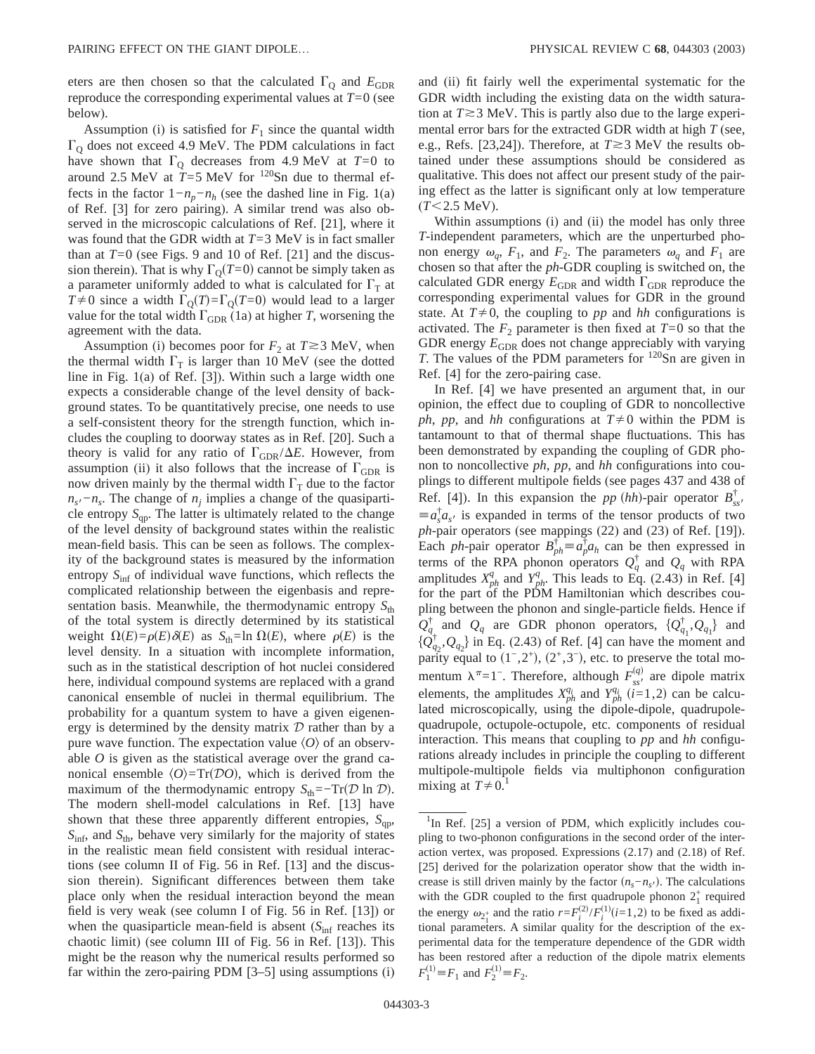eters are then chosen so that the calculated  $\Gamma_0$  and  $E_{\text{GDR}}$ reproduce the corresponding experimental values at *T*=0 (see below).

Assumption (i) is satisfied for  $F_1$  since the quantal width  $\Gamma$ <sub>Q</sub> does not exceed 4.9 MeV. The PDM calculations in fact have shown that  $\Gamma_{\text{Q}}$  decreases from 4.9 MeV at *T*=0 to around 2.5 MeV at  $\hat{T}$ =5 MeV for <sup>120</sup>Sn due to thermal effects in the factor  $1 - n_p - n_h$  (see the dashed line in Fig. 1(a) of Ref. [3] for zero pairing). A similar trend was also observed in the microscopic calculations of Ref. [21], where it was found that the GDR width at *T*=3 MeV is in fact smaller than at  $T=0$  (see Figs. 9 and 10 of Ref. [21] and the discussion therein). That is why  $\Gamma_0(T=0)$  cannot be simply taken as a parameter uniformly added to what is calculated for  $\Gamma_T$  at  $T\neq 0$  since a width  $\Gamma_0(T)=\Gamma_0(T=0)$  would lead to a larger value for the total width  $\Gamma_{\text{GDR}}$  (1a) at higher *T*, worsening the agreement with the data.

Assumption (i) becomes poor for  $F_2$  at  $T \approx 3$  MeV, when the thermal width  $\Gamma_T$  is larger than 10 MeV (see the dotted line in Fig. 1(a) of Ref. [3]). Within such a large width one expects a considerable change of the level density of background states. To be quantitatively precise, one needs to use a self-consistent theory for the strength function, which includes the coupling to doorway states as in Ref. [20]. Such a theory is valid for any ratio of  $\Gamma_{\text{GDR}}/\Delta E$ . However, from assumption (ii) it also follows that the increase of  $\Gamma_{\text{GDR}}$  is now driven mainly by the thermal width  $\Gamma$ <sup>T</sup> due to the factor  $n<sub>s</sub>$ <sup>*-*</sup> $n<sub>s</sub>$ . The change of  $n<sub>j</sub>$  implies a change of the quasiparticle entropy  $S<sub>qp</sub>$ . The latter is ultimately related to the change of the level density of background states within the realistic mean-field basis. This can be seen as follows. The complexity of the background states is measured by the information entropy  $S_{\text{inf}}$  of individual wave functions, which reflects the complicated relationship between the eigenbasis and representation basis. Meanwhile, the thermodynamic entropy  $S_{\text{th}}$ of the total system is directly determined by its statistical weight  $\Omega(E) = \rho(E) \delta(E)$  as  $S_{\text{th}} = \ln \Omega(E)$ , where  $\rho(E)$  is the level density. In a situation with incomplete information, such as in the statistical description of hot nuclei considered here, individual compound systems are replaced with a grand canonical ensemble of nuclei in thermal equilibrium. The probability for a quantum system to have a given eigenenergy is determined by the density matrix  $D$  rather than by a pure wave function. The expectation value  $\langle O \rangle$  of an observable *O* is given as the statistical average over the grand canonical ensemble  $\langle O \rangle = \text{Tr}(\mathcal{D}O)$ , which is derived from the maximum of the thermodynamic entropy  $S_{\text{th}}$ =−Tr( $D \ln D$ ). The modern shell-model calculations in Ref. [13] have shown that these three apparently different entropies,  $S_{\text{on}}$ , *S*inf, and *S*th, behave very similarly for the majority of states in the realistic mean field consistent with residual interactions (see column II of Fig. 56 in Ref. [13] and the discussion therein). Significant differences between them take place only when the residual interaction beyond the mean field is very weak (see column I of Fig. 56 in Ref. [13]) or when the quasiparticle mean-field is absent  $(S<sub>inf</sub>$  reaches its chaotic limit) (see column III of Fig. 56 in Ref. [13]). This might be the reason why the numerical results performed so far within the zero-pairing PDM [3–5] using assumptions (i) and (ii) fit fairly well the experimental systematic for the GDR width including the existing data on the width saturation at  $T \approx 3$  MeV. This is partly also due to the large experimental error bars for the extracted GDR width at high *T* (see, e.g., Refs. [23,24]). Therefore, at  $T \gtrsim 3$  MeV the results obtained under these assumptions should be considered as qualitative. This does not affect our present study of the pairing effect as the latter is significant only at low temperature  $(T<2.5 \text{ MeV}).$ 

Within assumptions (i) and (ii) the model has only three *T*-independent parameters, which are the unperturbed phonon energy  $\omega_q$ ,  $F_1$ , and  $F_2$ . The parameters  $\omega_q$  and  $F_1$  are chosen so that after the *ph*-GDR coupling is switched on, the calculated GDR energy  $E_{GDR}$  and width  $\Gamma_{GDR}$  reproduce the corresponding experimental values for GDR in the ground state. At  $T \neq 0$ , the coupling to *pp* and *hh* configurations is activated. The  $F_2$  parameter is then fixed at  $T=0$  so that the GDR energy  $E_{GDR}$  does not change appreciably with varying *T*. The values of the PDM parameters for <sup>120</sup>Sn are given in Ref. [4] for the zero-pairing case.

In Ref. [4] we have presented an argument that, in our opinion, the effect due to coupling of GDR to noncollective *ph*, *pp*, and *hh* configurations at  $T \neq 0$  within the PDM is tantamount to that of thermal shape fluctuations. This has been demonstrated by expanding the coupling of GDR phonon to noncollective *ph*, *pp*, and *hh* configurations into couplings to different multipole fields (see pages 437 and 438 of Ref. [4]). In this expansion the *pp*  $(hh)$ -pair operator  $B_{ss}^{\dagger}$  $\equiv a_s^{\dagger} a_{s'}$  is expanded in terms of the tensor products of two *ph*-pair operators (see mappings (22) and (23) of Ref. [19]). Each *ph*-pair operator  $B_{ph}^{\dagger} \equiv a_p^{\dagger} a_h$  can be then expressed in terms of the RPA phonon operators  $Q_q^{\dagger}$  and  $Q_q$  with RPA amplitudes  $X_{ph}^q$  and  $Y_{ph}^q$ . This leads to Eq. (2.43) in Ref. [4] for the part of the PDM Hamiltonian which describes coupling between the phonon and single-particle fields. Hence if  $Q_q^{\dagger}$  and  $Q_q$  are GDR phonon operators,  $\{Q_{q_1}^{\dagger}, Q_{q_1}\}$  and  $\{Q_{q_2}^{\dagger}, Q_{q_2}\}\$  in Eq. (2.43) of Ref. [4] can have the moment and parity equal to  $(1^-,2^+), (2^+,3^-)$ , etc. to preserve the total momentum  $\lambda^{\pi} = 1$ <sup>-</sup>. Therefore, although *F*<sub>ss</sub><sup>*n*</sup> are dipole matrix elements, the amplitudes  $X_{ph}^{q_i}$  and  $Y_{ph}^{q_i}$  (*i*=1,2) can be calculated microscopically, using the dipole-dipole, quadrupolequadrupole, octupole-octupole, etc. components of residual interaction. This means that coupling to *pp* and *hh* configurations already includes in principle the coupling to different multipole-multipole fields via multiphonon configuration mixing at  $T\neq 0$ .<sup>1</sup>

<sup>&</sup>lt;sup>1</sup>In Ref. [25] a version of PDM, which explicitly includes coupling to two-phonon configurations in the second order of the interaction vertex, was proposed. Expressions (2.17) and (2.18) of Ref. [25] derived for the polarization operator show that the width increase is still driven mainly by the factor  $(n_s - n_s)$ . The calculations with the GDR coupled to the first quadrupole phonon  $2^+_1$  required the energy  $\omega_{2_i^+}$  and the ratio  $r = F_i^{(2)}/F_i^{(1)}$  (*i*=1,2) to be fixed as additional parameters. A similar quality for the description of the experimental data for the temperature dependence of the GDR width has been restored after a reduction of the dipole matrix elements  $F_1^{(1)} \equiv F_1$  and  $F_2^{(1)} \equiv F_2$ .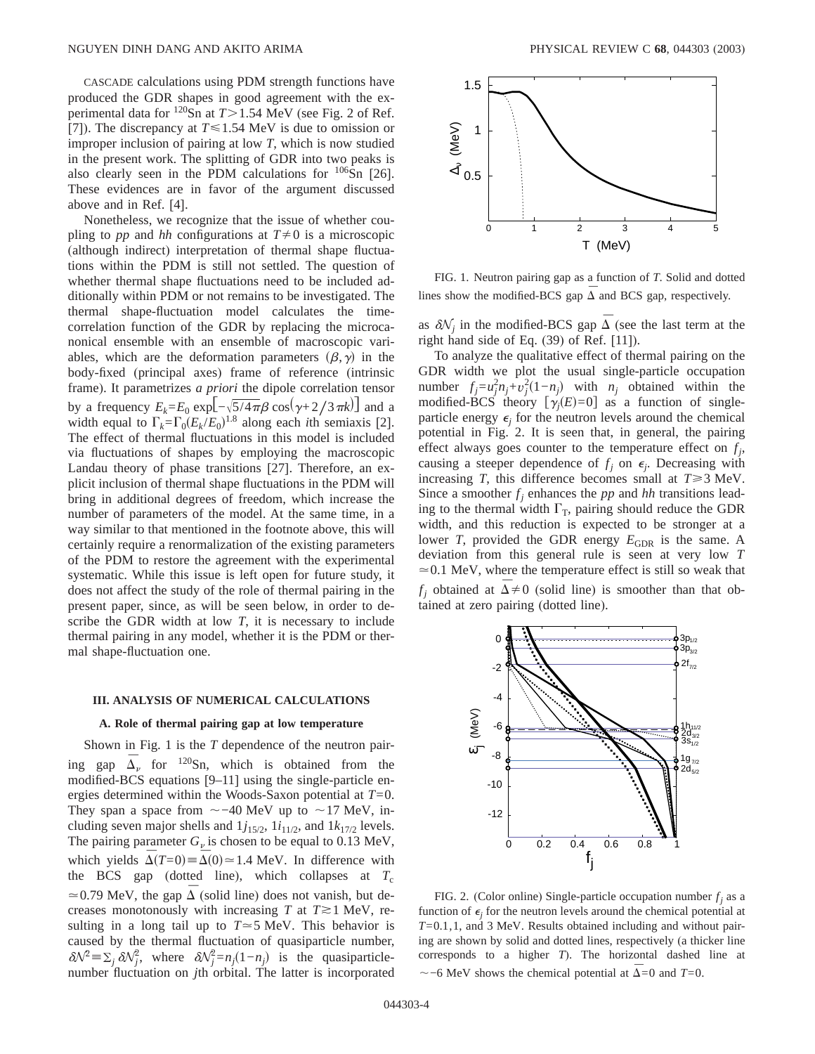CASCADE calculations using PDM strength functions have produced the GDR shapes in good agreement with the experimental data for  $120$ Sn at  $T > 1.54$  MeV (see Fig. 2 of Ref. [7]). The discrepancy at  $T \le 1.54$  MeV is due to omission or improper inclusion of pairing at low *T*, which is now studied in the present work. The splitting of GDR into two peaks is also clearly seen in the PDM calculations for <sup>106</sup>Sn [26]. These evidences are in favor of the argument discussed above and in Ref. [4].

Nonetheless, we recognize that the issue of whether coupling to *pp* and *hh* configurations at  $T \neq 0$  is a microscopic (although indirect) interpretation of thermal shape fluctuations within the PDM is still not settled. The question of whether thermal shape fluctuations need to be included additionally within PDM or not remains to be investigated. The thermal shape-fluctuation model calculates the timecorrelation function of the GDR by replacing the microcanonical ensemble with an ensemble of macroscopic variables, which are the deformation parameters  $(\beta, \gamma)$  in the body-fixed (principal axes) frame of reference (intrinsic frame). It parametrizes *a priori* the dipole correlation tensor by a frequency  $E_k = E_0 \exp[-\sqrt{5/4\pi\beta} \cos(\gamma + 2/3\pi k)]$  and a width equal to  $\Gamma_k = \Gamma_0 (E_k / E_0)^{1.8}$  along each *i*th semiaxis [2]. The effect of thermal fluctuations in this model is included via fluctuations of shapes by employing the macroscopic Landau theory of phase transitions [27]. Therefore, an explicit inclusion of thermal shape fluctuations in the PDM will bring in additional degrees of freedom, which increase the number of parameters of the model. At the same time, in a way similar to that mentioned in the footnote above, this will certainly require a renormalization of the existing parameters of the PDM to restore the agreement with the experimental systematic. While this issue is left open for future study, it does not affect the study of the role of thermal pairing in the present paper, since, as will be seen below, in order to describe the GDR width at low *T*, it is necessary to include thermal pairing in any model, whether it is the PDM or thermal shape-fluctuation one.

### **III. ANALYSIS OF NUMERICAL CALCULATIONS**

#### **A. Role of thermal pairing gap at low temperature**

Shown in Fig. 1 is the *T* dependence of the neutron pairing gap  $\overline{\Delta}$ <sup>n</sup> for <sup>120</sup>Sn, which is obtained from the modified-BCS equations [9–11] using the single-particle energies determined within the Woods-Saxon potential at *T*=0. They span a space from  $\sim$ -40 MeV up to  $\sim$ 17 MeV, including seven major shells and  $1j_{15/2}$ ,  $1i_{11/2}$ , and  $1k_{17/2}$  levels. The pairing parameter  $G_\nu$  is chosen to be equal to 0.13 MeV, which yields  $\overline{\Delta}(T=0) \equiv \overline{\Delta}(0) \approx 1.4$  MeV. In difference with the BCS gap (dotted line), which collapses at  $T_c$  $\approx$  0.79 MeV, the gap  $\Delta$  (solid line) does not vanish, but decreases monotonously with increasing *T* at  $T \ge 1$  MeV, resulting in a long tail up to  $T \approx 5$  MeV. This behavior is caused by the thermal fluctuation of quasiparticle number,  $\delta \mathcal{N}^2 = \sum_j \delta \mathcal{N}^2_j$ , where  $\delta \mathcal{N}^2_j = n_j(1-n_j)$  is the quasiparticlenumber fluctuation on *j*th orbital. The latter is incorporated



FIG. 1. Neutron pairing gap as a function of *T*. Solid and dotted lines show the modified-BCS gap  $\overline{\Delta}$  and BCS gap, respectively.

as  $\delta N_i$  in the modified-BCS gap  $\Delta$  (see the last term at the right hand side of Eq. (39) of Ref. [11]).

To analyze the qualitative effect of thermal pairing on the GDR width we plot the usual single-particle occupation number  $f_j = u_j^2 n_j + v_j^2 (1 - n_j)$  with  $n_j$  obtained within the modified-BCS theory  $[\gamma_j(E)=0]$  as a function of singleparticle energy  $\epsilon_i$  for the neutron levels around the chemical potential in Fig. 2. It is seen that, in general, the pairing effect always goes counter to the temperature effect on *fj* , causing a steeper dependence of  $f_j$  on  $\epsilon_j$ . Decreasing with increasing *T*, this difference becomes small at  $T \ge 3$  MeV. Since a smoother  $f_i$  enhances the *pp* and *hh* transitions leading to the thermal width  $\Gamma_{\text{T}}$ , pairing should reduce the GDR width, and this reduction is expected to be stronger at a lower *T*, provided the GDR energy  $E_{GDR}$  is the same. A deviation from this general rule is seen at very low *T*  $\approx$  0.1 MeV, where the temperature effect is still so weak that  $f_i$  obtained at  $\Delta \neq 0$  (solid line) is smoother than that obtained at zero pairing (dotted line).



FIG. 2. (Color online) Single-particle occupation number  $f_i$  as a function of  $\epsilon_i$  for the neutron levels around the chemical potential at *T*=0.1,1, and 3 MeV. Results obtained including and without pairing are shown by solid and dotted lines, respectively (a thicker line corresponds to a higher *T*). The horizontal dashed line at  $\sim$ −6 MeV shows the chemical potential at  $\overline{\Delta}$ =0 and *T*=0.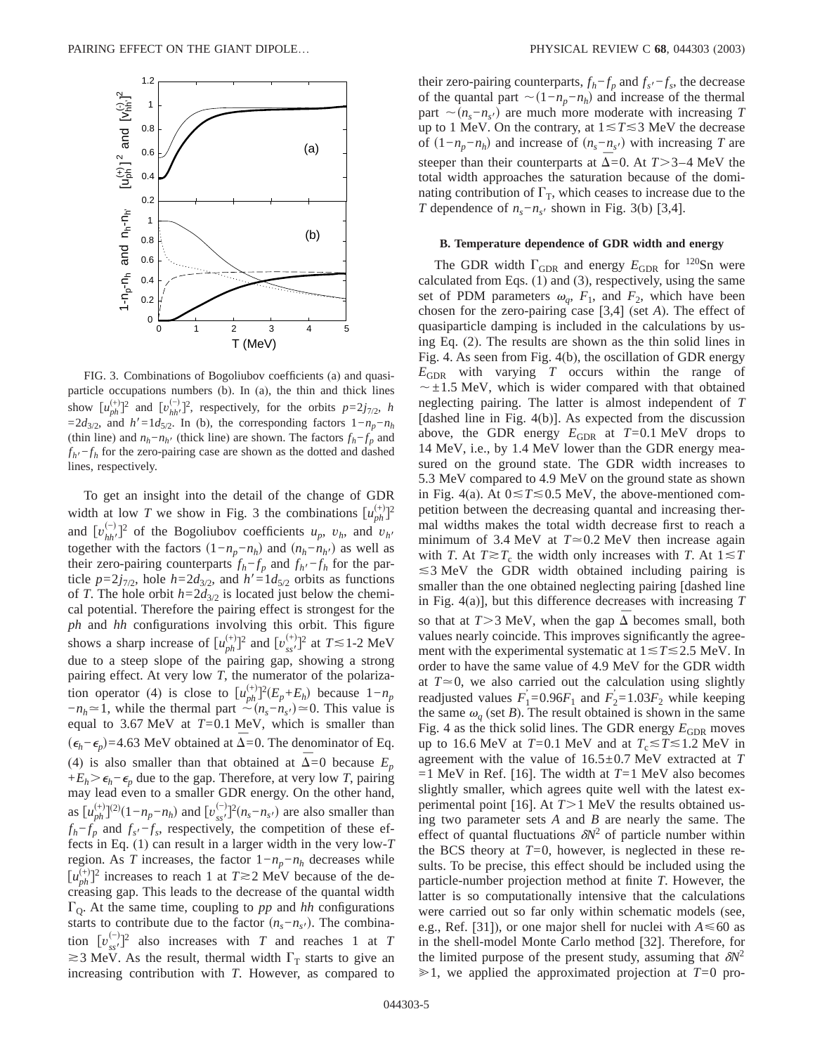

FIG. 3. Combinations of Bogoliubov coefficients (a) and quasiparticle occupations numbers (b). In (a), the thin and thick lines show  $[u_{ph}^{(+)}]^2$  and  $[v_{hh'}^{(-)}]^2$ , respectively, for the orbits  $p=2j_{7/2}$ , *h*  $=2d_{3/2}$ , and *h'*=1 $d_{5/2}$ . In (b), the corresponding factors 1−*n<sub>p</sub>*−*n<sub>h</sub>* (thin line) and  $n_h - n_h$ <sup>*i*</sup> (thick line) are shown. The factors  $f_h - f_p$  and  $f_{h}f_{h} - f_{h}$  for the zero-pairing case are shown as the dotted and dashed lines, respectively.

To get an insight into the detail of the change of GDR width at low *T* we show in Fig. 3 the combinations  $\left[u_{ph}^{(+)}\right]$ <sup>2</sup> and  $[v_{hh'}^{(-)}]^2$  of the Bogoliubov coefficients  $u_p$ ,  $v_h$ , and  $v_{h'}$  together with the factors  $(1-n_p-n_h)$  and  $(n_h-n_{h'})$  as well as together with the factors  $(1-n_p-n_h)$  and  $(n_h-n_{h'})$  as well as their zero-pairing counterparts  $f_h$ − $f_p$  and  $f_{h'}$ − $f_h$  for the particle  $p=2j_{7/2}$ , hole  $h=2d_{3/2}$ , and  $h'=1d_{5/2}$  orbits as functions of *T*. The hole orbit  $h=2d_{3/2}$  is located just below the chemical potential. Therefore the pairing effect is strongest for the *ph* and *hh* configurations involving this orbit. This figure shows a sharp increase of  $[u_{ph}^{(+)}]^2$  and  $[v_{ss'}^{(+)}]^2$  at  $T \le 1$ -2 MeV due to a steep slope of the pairing gap, showing a strong pairing effect. At very low *T*, the numerator of the polarization operator (4) is close to  $[u_{ph}^{(+)}]^2(E_p + E_h)$  because  $1 - n_p$  $-n_h \approx 1$ , while the thermal part  $\sim (n_s - n_s) \approx 0$ . This value is equal to 3.67 MeV at *T*=0.1 MeV, which is smaller than  $(\epsilon_h - \epsilon_p)$ =4.63 MeV obtained at Δ=0. The denominator of Eq. (4) is also smaller than that obtained at  $\Delta=0$  because  $E_p$ +*E<sub>h</sub>*  $>$   $\epsilon$ <sub>*h*</sub>− $\epsilon$ <sub>*p*</sub> due to the gap. Therefore, at very low *T*, pairing may lead even to a smaller GDR energy. On the other hand, as  $\left[ \mu_{ph}^{(+)} \right]^{(2)} (1 - n_p - n_h)$  and  $\left[ \nu_{ss'}^{(-)} \right]^{2} (n_s - n_{s'})$  are also smaller than  $f_h$ − $f_p$  and  $f_s$ <sup> $-f_s$ </sup>, respectively, the competition of these effects in Eq. (1) can result in a larger width in the very low-*T* region. As *T* increases, the factor  $1 - n_p - n_h$  decreases while  $[u_{ph}^{(+)}]$ <sup>2</sup> increases to reach 1 at  $T \gtrsim 2$  MeV because of the decreasing gap. This leads to the decrease of the quantal width  $\Gamma$ <sub>O</sub>. At the same time, coupling to *pp* and *hh* configurations starts to contribute due to the factor  $(n_s - n_{s})$ . The combination  $[v_{ss'}^{(-)}]$ <sup>2</sup> also increases with *T* and reaches 1 at *T*  $\geq$ 3 MeV. As the result, thermal width  $\Gamma$ <sub>T</sub> starts to give an increasing contribution with *T*. However, as compared to their zero-pairing counterparts,  $f_h - f_p$  and  $f_s - f_s$ , the decrease of the quantal part  $\sim(1-n_p-n_h)$  and increase of the thermal part  $\sim$ ( $n_s - n_s$ ) are much more moderate with increasing *T* up to 1 MeV. On the contrary, at  $1 \le T \le 3$  MeV the decrease of  $(1-n_p-n_h)$  and increase of  $(n_s-n_{s'})$  with increasing *T* are steeper than their counterparts at  $\Delta$ =0. At *T*>3–4 MeV the total width approaches the saturation because of the dominating contribution of  $\Gamma_{\rm T}$ , which ceases to increase due to the *T* dependence of  $n_s - n_{s}$  shown in Fig. 3(b) [3,4].

### **B. Temperature dependence of GDR width and energy**

The GDR width  $\Gamma_{\text{GDR}}$  and energy  $E_{\text{GDR}}$  for <sup>120</sup>Sn were calculated from Eqs. (1) and (3), respectively, using the same set of PDM parameters  $\omega_q$ ,  $F_1$ , and  $F_2$ , which have been chosen for the zero-pairing case [3,4] (set *A*). The effect of quasiparticle damping is included in the calculations by using Eq. (2). The results are shown as the thin solid lines in Fig. 4. As seen from Fig. 4(b), the oscillation of GDR energy *E*GDR with varying *T* occurs within the range of  $\sim \pm 1.5$  MeV, which is wider compared with that obtained neglecting pairing. The latter is almost independent of *T* [dashed line in Fig. 4(b)]. As expected from the discussion above, the GDR energy  $E_{GDR}$  at  $T=0.1$  MeV drops to 14 MeV, i.e., by 1.4 MeV lower than the GDR energy measured on the ground state. The GDR width increases to 5.3 MeV compared to 4.9 MeV on the ground state as shown in Fig. 4(a). At  $0 \le T \le 0.5$  MeV, the above-mentioned competition between the decreasing quantal and increasing thermal widths makes the total width decrease first to reach a minimum of 3.4 MeV at  $T \approx 0.2$  MeV then increase again with *T*. At  $T \geq T_c$  the width only increases with *T*. At  $1 \leq T$  $\leq$ 3 MeV the GDR width obtained including pairing is smaller than the one obtained neglecting pairing [dashed line in Fig. 4(a)], but this difference decreases with increasing *T* so that at  $T > 3$  MeV, when the gap  $\Delta$  becomes small, both values nearly coincide. This improves significantly the agreement with the experimental systematic at  $1 \le T \le 2.5$  MeV. In order to have the same value of 4.9 MeV for the GDR width at  $T \approx 0$ , we also carried out the calculation using slightly readjusted values  $\vec{F}_1 = 0.96F_1$  and  $\vec{F}_2 = 1.03F_2$  while keeping the same  $\omega_q$  (set *B*). The result obtained is shown in the same Fig. 4 as the thick solid lines. The GDR energy  $E_{GDR}$  moves up to 16.6 MeV at  $T=0.1$  MeV and at  $T_c \le T \le 1.2$  MeV in agreement with the value of 16.5±0.7 MeV extracted at *T*  $=1$  MeV in Ref. [16]. The width at  $T=1$  MeV also becomes slightly smaller, which agrees quite well with the latest experimental point [16]. At  $T>1$  MeV the results obtained using two parameter sets *A* and *B* are nearly the same. The effect of quantal fluctuations  $\delta N^2$  of particle number within the BCS theory at  $T=0$ , however, is neglected in these results. To be precise, this effect should be included using the particle-number projection method at finite *T*. However, the latter is so computationally intensive that the calculations were carried out so far only within schematic models (see, e.g., Ref. [31]), or one major shell for nuclei with  $A \le 60$  as in the shell-model Monte Carlo method [32]. Therefore, for the limited purpose of the present study, assuming that  $\delta N^2$  $\geq 1$ , we applied the approximated projection at *T*=0 pro-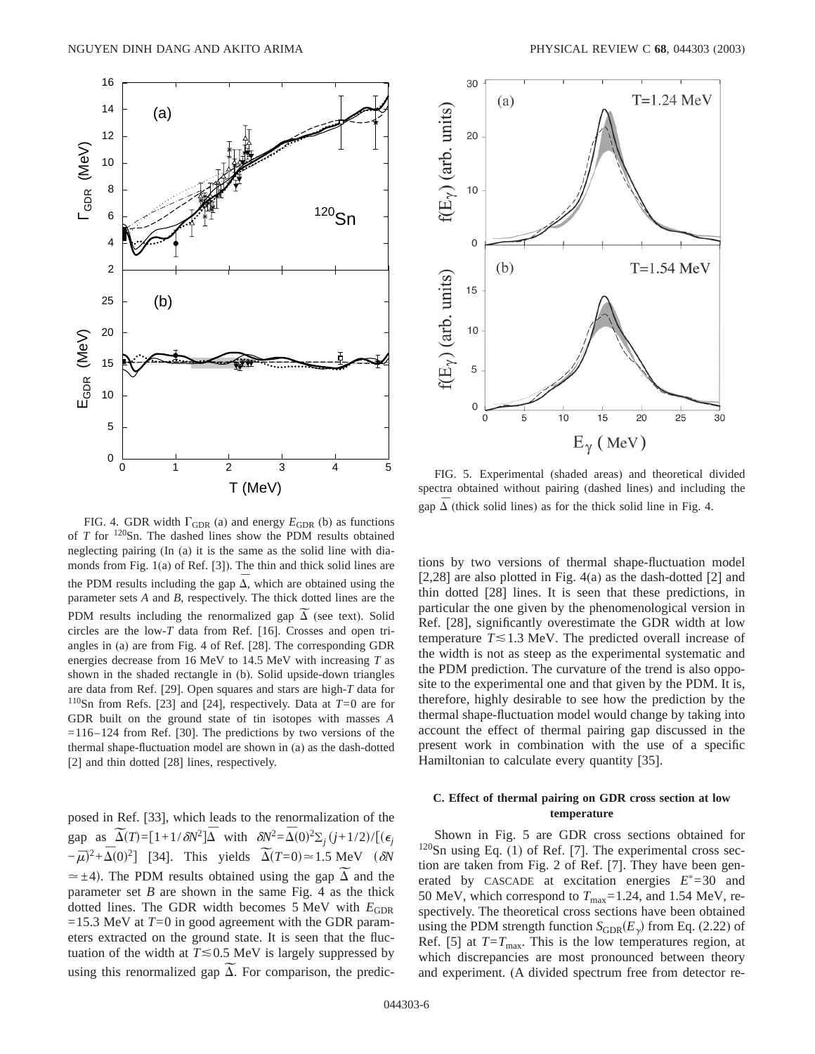

FIG. 4. GDR width  $\Gamma_{\text{GDR}}$  (a) and energy  $E_{\text{GDR}}$  (b) as functions of *T* for 120Sn. The dashed lines show the PDM results obtained neglecting pairing (In (a) it is the same as the solid line with diamonds from Fig. 1(a) of Ref. [3]). The thin and thick solid lines are the PDM results including the gap  $\overline{\Delta}$ , which are obtained using the parameter sets *A* and *B*, respectively. The thick dotted lines are the parameter sets *A* and *B*, respectively. The thick dotted lines are the PDM results including the renormalized gap  $\widetilde{\Delta}$  (see text). Solid circles are the low-*T* data from Ref. [16]. Crosses and open triangles in (a) are from Fig. 4 of Ref. [28]. The corresponding GDR energies decrease from 16 MeV to 14.5 MeV with increasing *T* as shown in the shaded rectangle in (b). Solid upside-down triangles are data from Ref. [29]. Open squares and stars are high-*T* data for 110Sn from Refs. [23] and [24], respectively. Data at *T*=0 are for GDR built on the ground state of tin isotopes with masses *A*  $=116-124$  from Ref. [30]. The predictions by two versions of the thermal shape-fluctuation model are shown in (a) as the dash-dotted [2] and thin dotted [28] lines, respectively.

posed in Ref. [33], which leads to the renormalization of the posed in Ref. [33], which leads to the renormalization of the gap as  $\overline{\Delta}(T) = [1 + 1/\delta N^2] \overline{\Delta}$  with  $\delta N^2 = \overline{\Delta}(0)^2 \Sigma_j (j + 1/2) / [(\epsilon_j + 1/2)]$ gap as  $\Delta(T) = [1 + 1/\delta N^2] \Delta$  with  $\delta N^2 = \Delta(0)^2 \Sigma_j (j + 1/2)/[(\epsilon_j - \bar{\mu})^2 + \bar{\Delta}(0)^2]$  [34]. This yields  $\tilde{\Delta}(T=0) \approx 1.5$  MeV ( $\delta N$   $\approx \pm 4$ ). The PDM results obtained using the gap  $\tilde{\Delta}$  and the  $\approx \pm 4$ ). The PDM results obtained using the gap  $\Delta$  and the parameter set  $B$  are shown in the same Fig. 4 as the thick dotted lines. The GDR width becomes 5 MeV with  $E_{GDR}$  $=15.3$  MeV at  $T=0$  in good agreement with the GDR parameters extracted on the ground state. It is seen that the fluctuation of the width at  $T \le 0.5$  MeV is largely suppressed by tuation of the width at  $T \le 0.5$  MeV is largely suppressed by using this renormalized gap  $\overline{\Delta}$ . For comparison, the predic-



FIG. 5. Experimental (shaded areas) and theoretical divided spectra obtained without pairing (dashed lines) and including the gap  $\overline{\Delta}$  (thick solid lines) as for the thick solid line in Fig. 4.

tions by two versions of thermal shape-fluctuation model [2,28] are also plotted in Fig. 4(a) as the dash-dotted [2] and thin dotted [28] lines. It is seen that these predictions, in particular the one given by the phenomenological version in Ref. [28], significantly overestimate the GDR width at low temperature  $T \le 1.3$  MeV. The predicted overall increase of the width is not as steep as the experimental systematic and the PDM prediction. The curvature of the trend is also opposite to the experimental one and that given by the PDM. It is, therefore, highly desirable to see how the prediction by the thermal shape-fluctuation model would change by taking into account the effect of thermal pairing gap discussed in the present work in combination with the use of a specific Hamiltonian to calculate every quantity [35].

# **C. Effect of thermal pairing on GDR cross section at low temperature**

Shown in Fig. 5 are GDR cross sections obtained for  $120$ Sn using Eq. (1) of Ref. [7]. The experimental cross section are taken from Fig. 2 of Ref. [7]. They have been generated by CASCADE at excitation energies  $E^*=30$  and 50 MeV, which correspond to  $T_{\text{max}}$ =1.24, and 1.54 MeV, respectively. The theoretical cross sections have been obtained using the PDM strength function  $S_{\text{GDR}}(E_{\gamma})$  from Eq. (2.22) of Ref. [5] at  $T=T_{\text{max}}$ . This is the low temperatures region, at which discrepancies are most pronounced between theory and experiment. (A divided spectrum free from detector re